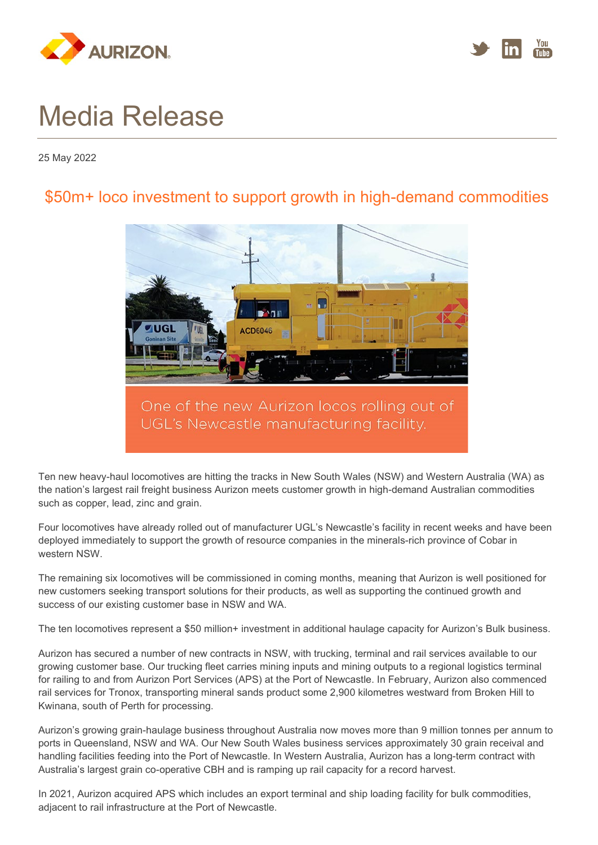



## Media Release

25 May 2022

## \$50m+ loco investment to support growth in high-demand commodities



Ten new heavy-haul locomotives are hitting the tracks in New South Wales (NSW) and Western Australia (WA) as the nation's largest rail freight business Aurizon meets customer growth in high-demand Australian commodities such as copper, lead, zinc and grain.

Four locomotives have already rolled out of manufacturer UGL's Newcastle's facility in recent weeks and have been deployed immediately to support the growth of resource companies in the minerals-rich province of Cobar in western NSW.

The remaining six locomotives will be commissioned in coming months, meaning that Aurizon is well positioned for new customers seeking transport solutions for their products, as well as supporting the continued growth and success of our existing customer base in NSW and WA.

The ten locomotives represent a \$50 million+ investment in additional haulage capacity for Aurizon's Bulk business.

Aurizon has secured a number of new contracts in NSW, with trucking, terminal and rail services available to our growing customer base. Our trucking fleet carries mining inputs and mining outputs to a regional logistics terminal for railing to and from Aurizon Port Services (APS) at the Port of Newcastle. In February, Aurizon also commenced rail services for Tronox, transporting mineral sands product some 2,900 kilometres westward from Broken Hill to Kwinana, south of Perth for processing.

Aurizon's growing grain-haulage business throughout Australia now moves more than 9 million tonnes per annum to ports in Queensland, NSW and WA. Our New South Wales business services approximately 30 grain receival and handling facilities feeding into the Port of Newcastle. In Western Australia, Aurizon has a long-term contract with Australia's largest grain co-operative CBH and is ramping up rail capacity for a record harvest.

In 2021, Aurizon acquired APS which includes an export terminal and ship loading facility for bulk commodities, adjacent to rail infrastructure at the Port of Newcastle.